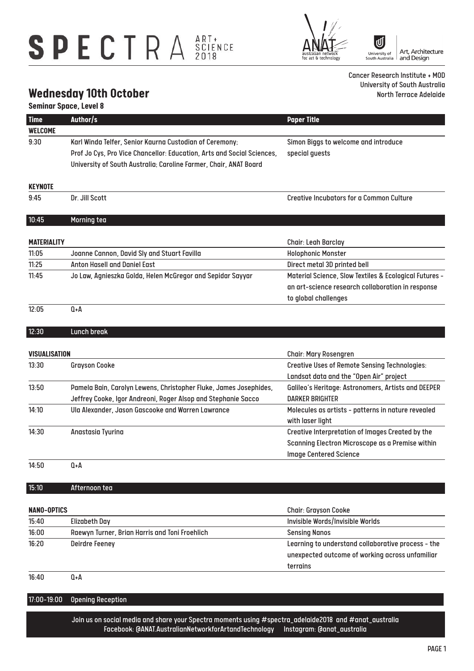## SPECTRA SCIENCE

|ປ] University of<br>South Australia ausua<br>for art ology

Art, Architecture<br>and Design

Cancer Research Institute + MOD University of South Australia North Terrace Adelaide

### **Wednesday 10th October**

#### **Seminar Space, Level 8**

| <b>Time</b>        | Author/s                                                                                               | <b>Paper Title</b>                                                     |  |  |
|--------------------|--------------------------------------------------------------------------------------------------------|------------------------------------------------------------------------|--|--|
| WELCOME            |                                                                                                        |                                                                        |  |  |
| 9:30               | Karl Winda Telfer, Senior Kaurna Custodian of Ceremony;                                                | Simon Biggs to welcome and introduce                                   |  |  |
|                    | Prof Jo Cys, Pro Vice Chancellor: Education, Arts and Social Sciences,                                 | special guests                                                         |  |  |
|                    | University of South Australia; Caroline Farmer, Chair, ANAT Board                                      |                                                                        |  |  |
| <b>KEYNOTE</b>     |                                                                                                        |                                                                        |  |  |
| 9:45               | Dr. Jill Scott                                                                                         | <b>Creative Incubators for a Common Culture</b>                        |  |  |
| 10:45              | Morning tea                                                                                            |                                                                        |  |  |
|                    |                                                                                                        |                                                                        |  |  |
| <b>MATERIALITY</b> |                                                                                                        | <b>Chair: Leah Barclay</b>                                             |  |  |
| 11:05              | Joanne Cannon, David Sly and Stuart Favilla                                                            | <b>Holophonic Monster</b>                                              |  |  |
| 11:25              | <b>Anton Hasell and Daniel East</b>                                                                    | Direct metal 3D printed bell                                           |  |  |
| 11:45              | Jo Law, Agnieszka Golda, Helen McGregor and Sepidar Sayyar                                             | Material Science, Slow Textiles & Ecological Futures -                 |  |  |
|                    |                                                                                                        | an art-science research collaboration in response                      |  |  |
|                    |                                                                                                        | to global challenges                                                   |  |  |
| 12:05              | $Q + A$                                                                                                |                                                                        |  |  |
| 12:30              | Lunch break                                                                                            |                                                                        |  |  |
|                    |                                                                                                        |                                                                        |  |  |
| VISUALISATION      |                                                                                                        | <b>Chair: Mary Rosengren</b>                                           |  |  |
| 13:30              | <b>Grayson Cooke</b>                                                                                   | <b>Creative Uses of Remote Sensing Technologies:</b>                   |  |  |
|                    |                                                                                                        | Landsat data and the "Open Air" project                                |  |  |
| 13:50              | Pamela Bain, Carolyn Lewens, Christopher Fluke, James Josephides,                                      | Galileo's Heritage: Astronomers, Artists and DEEPER                    |  |  |
|                    | Jeffrey Cooke, Igor Andreoni, Roger Alsop and Stephanie Sacco                                          | <b>DARKER BRIGHTER</b>                                                 |  |  |
| 14:10              | Ula Alexander, Jason Gascooke and Warren Lawrance                                                      | Molecules as artists - patterns in nature revealed<br>with laser light |  |  |
| 14:30              | Anastasia Tyurina                                                                                      | Creative Interpretation of Images Created by the                       |  |  |
|                    |                                                                                                        | Scanning Electron Microscope as a Premise within                       |  |  |
|                    |                                                                                                        | <b>Image Centered Science</b>                                          |  |  |
| 14:50              | Q+A                                                                                                    |                                                                        |  |  |
| 15:10              | Afternoon tea                                                                                          |                                                                        |  |  |
|                    |                                                                                                        |                                                                        |  |  |
| <b>NANO-OPTICS</b> |                                                                                                        | <b>Chair: Grayson Cooke</b>                                            |  |  |
| 15:40              | <b>Elizabeth Day</b>                                                                                   | Invisible Words/Invisible Worlds                                       |  |  |
| 16:00              | Raewyn Turner, Brian Harris and Toni Froehlich                                                         | <b>Sensing Nanos</b>                                                   |  |  |
| 16:20              | <b>Deirdre Feeney</b>                                                                                  | Learning to understand collaborative process - the                     |  |  |
|                    |                                                                                                        | unexpected outcome of working across unfamiliar                        |  |  |
|                    |                                                                                                        | terrains                                                               |  |  |
| 16:40              | $Q + A$                                                                                                |                                                                        |  |  |
| 17:00-19:00        | <b>Opening Reception</b>                                                                               |                                                                        |  |  |
|                    | Join us on social media and share your Spectra moments using #spectra_adelaide2018 and #anat_australia |                                                                        |  |  |
|                    | Facebook: @ANAT.AustralianNetworkforArtandTechnology   Instagram: @anat_australia                      |                                                                        |  |  |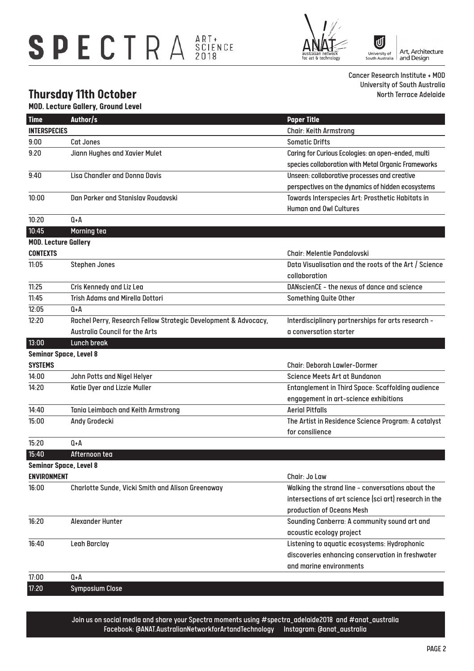# SPECTRA SCIENCE



[U Art, Architecture University of<br>South Australia and Design

Cancer Research Institute + MOD University of South Australia North Terrace Adelaide

### **Thursday 11th October**

I

I

I

|                     | <b>MOD. Lecture Gallery, Ground Level</b>                       |                                                                                                  |
|---------------------|-----------------------------------------------------------------|--------------------------------------------------------------------------------------------------|
| <b>Time</b>         | Author/s                                                        | <b>Paper Title</b>                                                                               |
| <b>INTERSPECIES</b> |                                                                 | <b>Chair: Keith Armstrong</b>                                                                    |
| 9:00                | Cat Jones                                                       | <b>Somatic Drifts</b>                                                                            |
| 9:20                | Jiann Hughes and Xavier Mulet                                   | Caring for Curious Ecologies: an open-ended, multi                                               |
|                     |                                                                 | species collaboration with Metal Organic Frameworks                                              |
| 9:40                | <b>Lisa Chandler and Donna Davis</b>                            | Unseen: collaborative processes and creative                                                     |
|                     |                                                                 | perspectives on the dynamics of hidden ecosystems                                                |
| 10:00               | Dan Parker and Stanislav Roudavski                              | Towards Interspecies Art: Prosthetic Habitats in                                                 |
|                     |                                                                 | <b>Human and Owl Cultures</b>                                                                    |
| 10:20               | $0+A$                                                           |                                                                                                  |
| 10:45               | Morning tea                                                     |                                                                                                  |
|                     | <b>MOD. Lecture Gallery</b>                                     |                                                                                                  |
| <b>CONTEXTS</b>     |                                                                 | <b>Chair: Melentie Pandalovski</b>                                                               |
| 11:05               | <b>Stephen Jones</b>                                            | Data Visualisation and the roots of the Art / Science                                            |
|                     |                                                                 | collaboration                                                                                    |
| 11:25               | Cris Kennedy and Liz Lea                                        | DANscienCE - the nexus of dance and science                                                      |
| 11:45               | <b>Trish Adams and Mirella Dottori</b>                          | Something Quite Other                                                                            |
| 12:05               | 0+A                                                             |                                                                                                  |
| 12:20               | Rachel Perry, Research Fellow Strategic Development & Advocacy, | Interdisciplinary partnerships for arts research -                                               |
|                     | <b>Australia Council for the Arts</b>                           | a conversation starter                                                                           |
| 13:00               | Lunch break                                                     |                                                                                                  |
|                     | <b>Seminar Space, Level 8</b>                                   |                                                                                                  |
| <b>SYSTEMS</b>      |                                                                 | <b>Chair: Deborah Lawler-Dormer</b>                                                              |
| 14:00               | John Potts and Nigel Helyer                                     | Science Meets Art at Bundanon                                                                    |
| 14:20               | Katie Dyer and Lizzie Muller                                    | <b>Entanglement in Third Space: Scaffolding audience</b>                                         |
|                     |                                                                 | engagement in art-science exhibitions                                                            |
| 14:40               | Tania Leimbach and Keith Armstrong                              | <b>Aerial Pitfalls</b>                                                                           |
| 15:00               | Andy Grodecki                                                   | The Artist in Residence Science Program: A catalyst                                              |
|                     |                                                                 | for consilience                                                                                  |
| 15:20               | 0+A                                                             |                                                                                                  |
| 15:40               | Afternoon tea                                                   |                                                                                                  |
|                     | <b>Seminar Space, Level 8</b>                                   |                                                                                                  |
| <b>ENVIRONMENT</b>  |                                                                 | Chair: Jo Law                                                                                    |
| 16:00               | Charlotte Sunde, Vicki Smith and Alison Greenaway               | Walking the strand line - conversations about the                                                |
|                     |                                                                 | intersections of art science (sci art) research in the                                           |
|                     |                                                                 | production of Oceans Mesh                                                                        |
| 16:20               | Alexander Hunter                                                | Sounding Canberra: A community sound art and                                                     |
|                     |                                                                 | acoustic ecology project                                                                         |
| 16:40               | Leah Barclay                                                    | Listening to aquatic ecosystems: Hydrophonic<br>discoveries enhancing conservation in freshwater |
|                     |                                                                 | and marine environments                                                                          |
| 17:00               | Q+A                                                             |                                                                                                  |
|                     |                                                                 |                                                                                                  |

17:20 Symposium Close

Join us on social media and share your Spectra moments using #spectra\_adelaide2018 and #anat\_australia Facebook: @ANAT.AustralianNetworkforArtandTechnology Instagram: @anat\_australia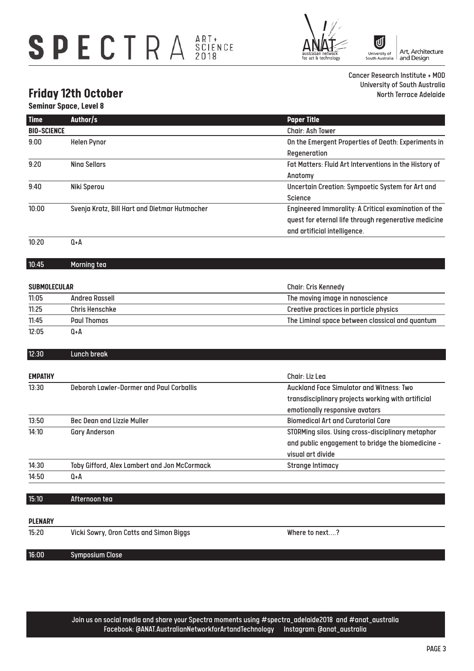# SPECTRA SCIENCE



[U Art, Architecture<br>and Design University of<br>South Australia

Cancer Research Institute + MOD University of South Australia North Terrace Adelaide

### **Friday 12th October**

|                     | <b>Seminar Space, Level 8</b>                 |                                                        |
|---------------------|-----------------------------------------------|--------------------------------------------------------|
| <b>Time</b>         | Author/s                                      | <b>Paper Title</b>                                     |
| <b>BIO-SCIENCE</b>  |                                               | <b>Chair: Ash Tower</b>                                |
| 9:00                | <b>Helen Pynor</b>                            | On the Emergent Properties of Death: Experiments in    |
|                     |                                               | Regeneration                                           |
| 9:20                | <b>Nina Sellars</b>                           | Fat Matters: Fluid Art Interventions in the History of |
|                     |                                               | Anatomy                                                |
| 9:40                | Niki Sperou                                   | Uncertain Creation: Sympoetic System for Art and       |
|                     |                                               | <b>Science</b>                                         |
| 10:00               | Svenja Kratz, Bill Hart and Dietmar Hutmacher | Engineered Immorality: A Critical examination of the   |
|                     |                                               | quest for eternal life through regenerative medicine   |
|                     |                                               | and artificial intelligence.                           |
| 10:20               | $0+A$                                         |                                                        |
| 10:45               | Morning tea                                   |                                                        |
|                     |                                               |                                                        |
| <b>SUBMOLECULAR</b> |                                               | <b>Chair: Cris Kennedy</b>                             |
| 11:05               | <b>Andrea Rassell</b>                         | The moving image in nanoscience                        |
| 11:25               | <b>Chris Henschke</b>                         | Creative practices in particle physics                 |
| 11:45               | <b>Paul Thomas</b>                            | The Liminal space between classical and quantum        |
| 12:05               | Q+A                                           |                                                        |
| 12:30               | <b>Lunch break</b>                            |                                                        |
| <b>EMPATHY</b>      |                                               | Chair: Liz Lea                                         |
| 13:30               | Deborah Lawler-Dormer and Paul Corballis      | <b>Auckland Face Simulator and Witness: Two</b>        |
|                     |                                               | transdisciplinary projects working with artificial     |
|                     |                                               | emotionally responsive avatars                         |
| 13:50               | <b>Bec Dean and Lizzie Muller</b>             | <b>Biomedical Art and Curatorial Care</b>              |
| 14:10               | <b>Gary Anderson</b>                          | STORMing silos. Using cross-disciplinary metaphor      |
|                     |                                               | and public engagement to bridge the biomedicine -      |
|                     |                                               | visual art divide                                      |
| 14:30               | Toby Gifford, Alex Lambert and Jon McCormack  | <b>Strange Intimacy</b>                                |
| 14:50               | Q+A                                           |                                                        |
| 15:10               | Afternoon tea                                 |                                                        |
|                     |                                               |                                                        |
| <b>PLENARY</b>      |                                               |                                                        |
| 15:20               | Vicki Sowry, Oron Catts and Simon Biggs       | Where to next?                                         |
| 16:00               | <b>Symposium Close</b>                        |                                                        |

Join us on social media and share your Spectra moments using #spectra\_adelaide2018 and #anat\_australia Facebook: @ANAT.AustralianNetworkforArtandTechnology Instagram: @anat\_australia